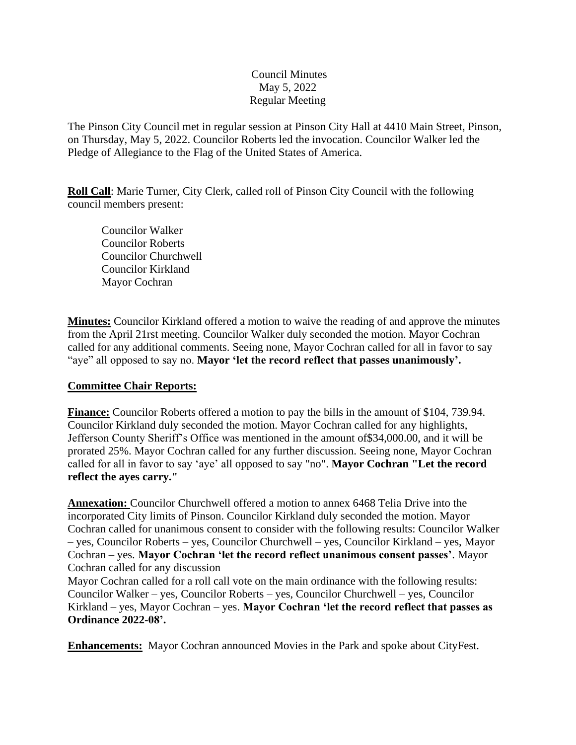## Council Minutes May 5, 2022 Regular Meeting

The Pinson City Council met in regular session at Pinson City Hall at 4410 Main Street, Pinson, on Thursday, May 5, 2022. Councilor Roberts led the invocation. Councilor Walker led the Pledge of Allegiance to the Flag of the United States of America.

**Roll Call**: Marie Turner, City Clerk, called roll of Pinson City Council with the following council members present:

Councilor Walker Councilor Roberts Councilor Churchwell Councilor Kirkland Mayor Cochran

**Minutes:** Councilor Kirkland offered a motion to waive the reading of and approve the minutes from the April 21rst meeting. Councilor Walker duly seconded the motion. Mayor Cochran called for any additional comments. Seeing none, Mayor Cochran called for all in favor to say "aye" all opposed to say no. **Mayor 'let the record reflect that passes unanimously'.** 

## **Committee Chair Reports:**

**Finance:** Councilor Roberts offered a motion to pay the bills in the amount of \$104, 739.94. Councilor Kirkland duly seconded the motion. Mayor Cochran called for any highlights, Jefferson County Sheriff's Office was mentioned in the amount of\$34,000.00, and it will be prorated 25%. Mayor Cochran called for any further discussion. Seeing none, Mayor Cochran called for all in favor to say 'aye' all opposed to say "no". **Mayor Cochran "Let the record reflect the ayes carry."**

**Annexation:** Councilor Churchwell offered a motion to annex 6468 Telia Drive into the incorporated City limits of Pinson. Councilor Kirkland duly seconded the motion. Mayor Cochran called for unanimous consent to consider with the following results: Councilor Walker – yes, Councilor Roberts – yes, Councilor Churchwell – yes, Councilor Kirkland – yes, Mayor Cochran – yes. **Mayor Cochran 'let the record reflect unanimous consent passes'**. Mayor Cochran called for any discussion

Mayor Cochran called for a roll call vote on the main ordinance with the following results: Councilor Walker – yes, Councilor Roberts – yes, Councilor Churchwell – yes, Councilor Kirkland – yes, Mayor Cochran – yes. **Mayor Cochran 'let the record reflect that passes as Ordinance 2022-08'.** 

**Enhancements:** Mayor Cochran announced Movies in the Park and spoke about CityFest.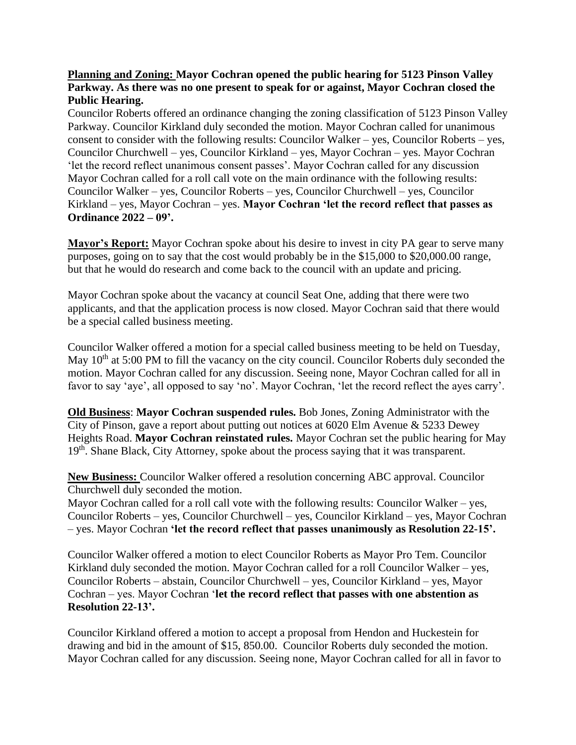## **Planning and Zoning: Mayor Cochran opened the public hearing for 5123 Pinson Valley Parkway. As there was no one present to speak for or against, Mayor Cochran closed the Public Hearing.**

Councilor Roberts offered an ordinance changing the zoning classification of 5123 Pinson Valley Parkway. Councilor Kirkland duly seconded the motion. Mayor Cochran called for unanimous consent to consider with the following results: Councilor Walker – yes, Councilor Roberts – yes, Councilor Churchwell – yes, Councilor Kirkland – yes, Mayor Cochran – yes. Mayor Cochran 'let the record reflect unanimous consent passes'. Mayor Cochran called for any discussion Mayor Cochran called for a roll call vote on the main ordinance with the following results: Councilor Walker – yes, Councilor Roberts – yes, Councilor Churchwell – yes, Councilor Kirkland – yes, Mayor Cochran – yes. **Mayor Cochran 'let the record reflect that passes as Ordinance 2022 – 09'.**

**Mayor's Report:** Mayor Cochran spoke about his desire to invest in city PA gear to serve many purposes, going on to say that the cost would probably be in the \$15,000 to \$20,000.00 range, but that he would do research and come back to the council with an update and pricing.

Mayor Cochran spoke about the vacancy at council Seat One, adding that there were two applicants, and that the application process is now closed. Mayor Cochran said that there would be a special called business meeting.

Councilor Walker offered a motion for a special called business meeting to be held on Tuesday, May 10<sup>th</sup> at 5:00 PM to fill the vacancy on the city council. Councilor Roberts duly seconded the motion. Mayor Cochran called for any discussion. Seeing none, Mayor Cochran called for all in favor to say 'aye', all opposed to say 'no'. Mayor Cochran, 'let the record reflect the ayes carry'.

**Old Business**: **Mayor Cochran suspended rules.** Bob Jones, Zoning Administrator with the City of Pinson, gave a report about putting out notices at 6020 Elm Avenue & 5233 Dewey Heights Road. **Mayor Cochran reinstated rules.** Mayor Cochran set the public hearing for May 19<sup>th</sup>. Shane Black, City Attorney, spoke about the process saying that it was transparent.

**New Business:** Councilor Walker offered a resolution concerning ABC approval. Councilor Churchwell duly seconded the motion.

Mayor Cochran called for a roll call vote with the following results: Councilor Walker – yes, Councilor Roberts – yes, Councilor Churchwell – yes, Councilor Kirkland – yes, Mayor Cochran – yes. Mayor Cochran **'let the record reflect that passes unanimously as Resolution 22-15'.**

Councilor Walker offered a motion to elect Councilor Roberts as Mayor Pro Tem. Councilor Kirkland duly seconded the motion. Mayor Cochran called for a roll Councilor Walker – yes, Councilor Roberts – abstain, Councilor Churchwell – yes, Councilor Kirkland – yes, Mayor Cochran – yes. Mayor Cochran '**let the record reflect that passes with one abstention as Resolution 22-13'.**

Councilor Kirkland offered a motion to accept a proposal from Hendon and Huckestein for drawing and bid in the amount of \$15, 850.00. Councilor Roberts duly seconded the motion. Mayor Cochran called for any discussion. Seeing none, Mayor Cochran called for all in favor to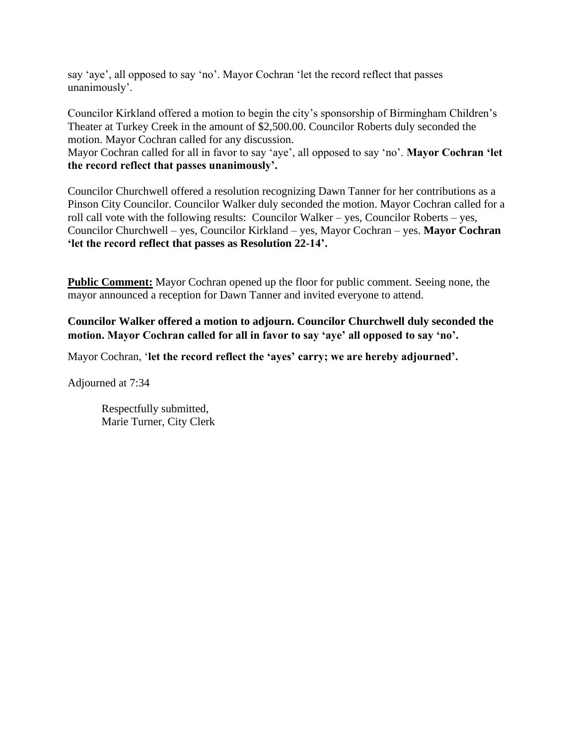say 'aye', all opposed to say 'no'. Mayor Cochran 'let the record reflect that passes unanimously'.

Councilor Kirkland offered a motion to begin the city's sponsorship of Birmingham Children's Theater at Turkey Creek in the amount of \$2,500.00. Councilor Roberts duly seconded the motion. Mayor Cochran called for any discussion.

Mayor Cochran called for all in favor to say 'aye', all opposed to say 'no'. **Mayor Cochran 'let the record reflect that passes unanimously'.**

Councilor Churchwell offered a resolution recognizing Dawn Tanner for her contributions as a Pinson City Councilor. Councilor Walker duly seconded the motion. Mayor Cochran called for a roll call vote with the following results: Councilor Walker – yes, Councilor Roberts – yes, Councilor Churchwell – yes, Councilor Kirkland – yes, Mayor Cochran – yes. **Mayor Cochran 'let the record reflect that passes as Resolution 22-14'.** 

**Public Comment:** Mayor Cochran opened up the floor for public comment. Seeing none, the mayor announced a reception for Dawn Tanner and invited everyone to attend.

**Councilor Walker offered a motion to adjourn. Councilor Churchwell duly seconded the motion. Mayor Cochran called for all in favor to say 'aye' all opposed to say 'no'.** 

Mayor Cochran, '**let the record reflect the 'ayes' carry; we are hereby adjourned'.**

Adjourned at 7:34

Respectfully submitted, Marie Turner, City Clerk